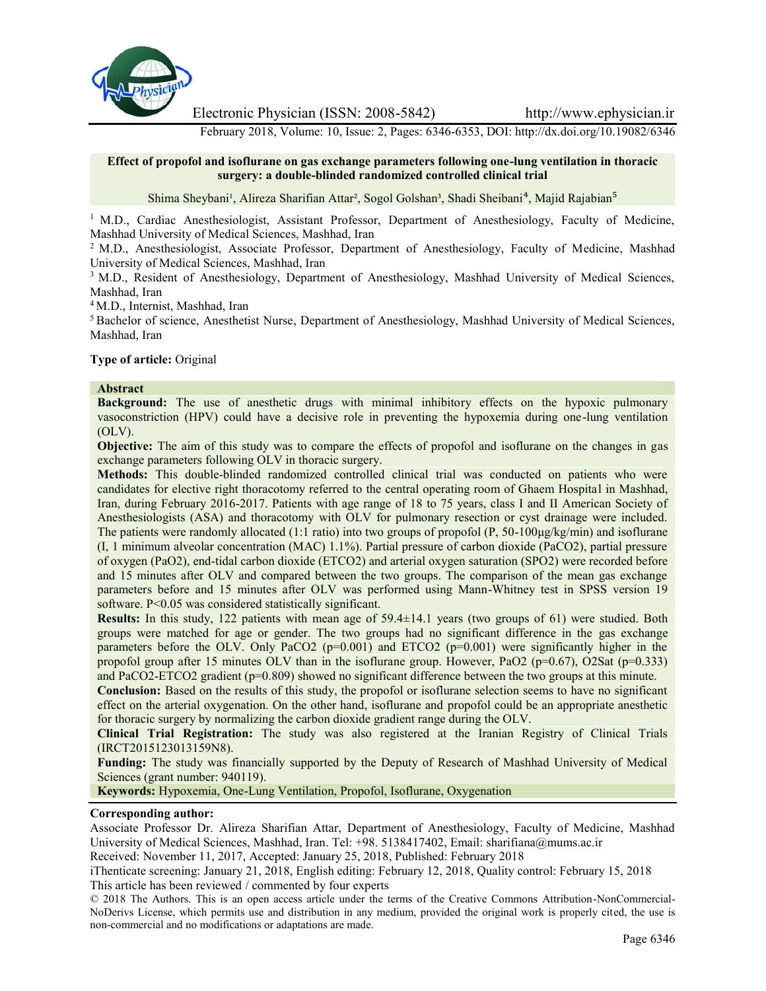

Electronic Physician (ISSN: 2008-5842) http://www.ephysician.ir

February 2018, Volume: 10, Issue: 2, Pages: 6346-6353, DOI: http://dx.doi.org/10.19082/6346

### **Effect of propofol and isoflurane on gas exchange parameters following one-lung ventilation in thoracic surgery: a double-blinded randomized controlled clinical trial**

Shima Sheybani<sup>1</sup>, Alireza Sharifian Attar<sup>2</sup>, Sogol Golshan<sup>3</sup>, Shadi Sheibani<sup>4</sup>, Majid Rajabian<sup>5</sup>

<sup>1</sup> M.D., Cardiac Anesthesiologist, Assistant Professor, Department of Anesthesiology, Faculty of Medicine, Mashhad University of Medical Sciences, Mashhad, Iran

<sup>2</sup> M.D., Anesthesiologist, Associate Professor, Department of Anesthesiology, Faculty of Medicine, Mashhad University of Medical Sciences, Mashhad, Iran

<sup>3</sup> M.D., Resident of Anesthesiology, Department of Anesthesiology, Mashhad University of Medical Sciences, Mashhad, Iran

<sup>4</sup> M.D., Internist, Mashhad, Iran

<sup>5</sup> Bachelor of science, Anesthetist Nurse, Department of Anesthesiology, Mashhad University of Medical Sciences, Mashhad, Iran

## **Type of article:** Original

#### **Abstract**

**Background:** The use of anesthetic drugs with minimal inhibitory effects on the hypoxic pulmonary vasoconstriction (HPV) could have a decisive role in preventing the hypoxemia during one-lung ventilation (OLV).

**Objective:** The aim of this study was to compare the effects of propofol and isoflurane on the changes in gas exchange parameters following OLV in thoracic surgery.

**Methods:** This double-blinded randomized controlled clinical trial was conducted on patients who were candidates for elective right thoracotomy referred to the central operating room of Ghaem Hospital in Mashhad, Iran, during February 2016-2017. Patients with age range of 18 to 75 years, class I and II American Society of Anesthesiologists (ASA) and thoracotomy with OLV for pulmonary resection or cyst drainage were included. The patients were randomly allocated (1:1 ratio) into two groups of propofol (P, 50-100μg/kg/min) and isoflurane (I, 1 minimum alveolar concentration (MAC) 1.1%). Partial pressure of carbon dioxide (PaCO2), partial pressure of oxygen (PaO2), end-tidal carbon dioxide (ETCO2) and arterial oxygen saturation (SPO2) were recorded before and 15 minutes after OLV and compared between the two groups. The comparison of the mean gas exchange parameters before and 15 minutes after OLV was performed using Mann-Whitney test in SPSS version 19 software. P<0.05 was considered statistically significant.

**Results:** In this study, 122 patients with mean age of 59.4±14.1 years (two groups of 61) were studied. Both groups were matched for age or gender. The two groups had no significant difference in the gas exchange parameters before the OLV. Only PaCO2 (p=0.001) and ETCO2 (p=0.001) were significantly higher in the propofol group after 15 minutes OLV than in the isoflurane group. However, PaO2 ( $p=0.67$ ), O2Sat ( $p=0.333$ ) and PaCO2-ETCO2 gradient (p=0.809) showed no significant difference between the two groups at this minute.

**Conclusion:** Based on the results of this study, the propofol or isoflurane selection seems to have no significant effect on the arterial oxygenation. On the other hand, isoflurane and propofol could be an appropriate anesthetic for thoracic surgery by normalizing the carbon dioxide gradient range during the OLV.

**Clinical Trial Registration:** The study was also registered at the Iranian Registry of Clinical Trials (IRCT2015123013159N8).

**Funding:** The study was financially supported by the Deputy of Research of Mashhad University of Medical Sciences (grant number: 940119).

**Keywords:** Hypoxemia, One-Lung Ventilation, Propofol, Isoflurane, Oxygenation

#### **Corresponding author:**

Associate Professor Dr. Alireza Sharifian Attar, Department of Anesthesiology, Faculty of Medicine, Mashhad University of Medical Sciences, Mashhad, Iran. Tel: +98. 5138417402, Email: sharifiana@mums.ac.ir

Received: November 11, 2017, Accepted: January 25, 2018, Published: February 2018

iThenticate screening: January 21, 2018, English editing: February 12, 2018, Quality control: February 15, 2018 This article has been reviewed / commented by four experts

© 2018 The Authors. This is an open access article under the terms of the Creative Commons Attribution-NonCommercial- NoDerivs License, which permits use and distribution in any medium, provided the original work is properly cited, the use is non-commercial and no modifications or adaptations are made.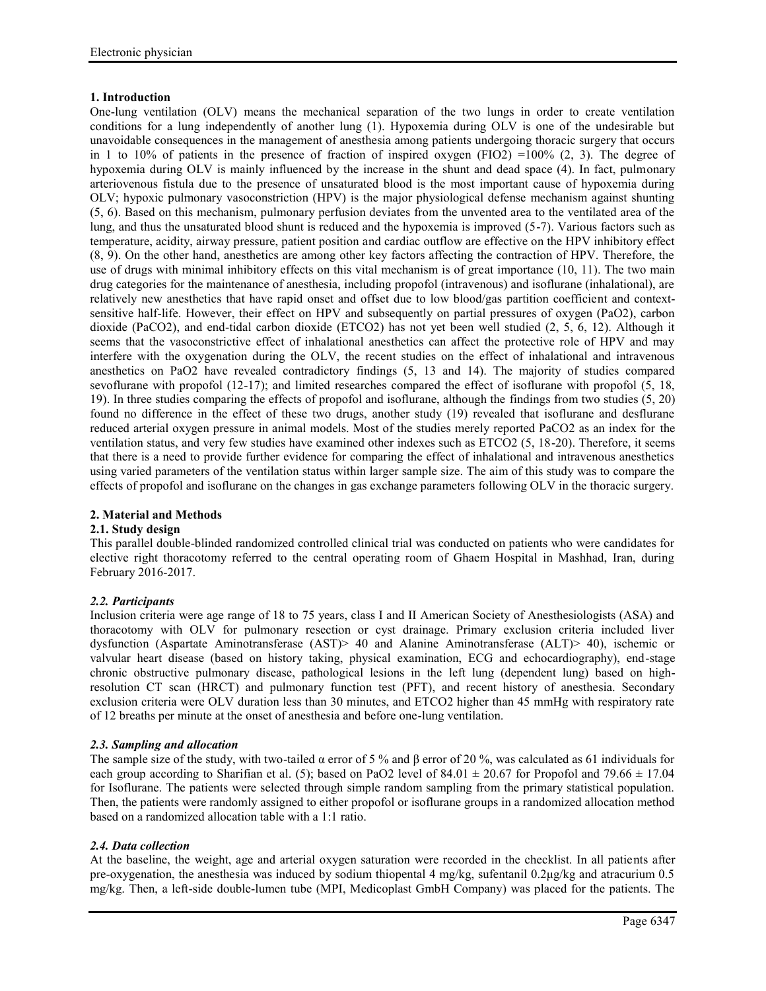# **1. Introduction**

One-lung ventilation (OLV) means the mechanical separation of the two lungs in order to create ventilation conditions for a lung independently of another lung (1). Hypoxemia during OLV is one of the undesirable but unavoidable consequences in the management of anesthesia among patients undergoing thoracic surgery that occurs in 1 to 10% of patients in the presence of fraction of inspired oxygen (FIO2) =100% (2, 3). The degree of hypoxemia during OLV is mainly influenced by the increase in the shunt and dead space (4). In fact, pulmonary arteriovenous fistula due to the presence of unsaturated blood is the most important cause of hypoxemia during OLV; hypoxic pulmonary vasoconstriction (HPV) is the major physiological defense mechanism against shunting (5, 6). Based on this mechanism, pulmonary perfusion deviates from the unvented area to the ventilated area of the lung, and thus the unsaturated blood shunt is reduced and the hypoxemia is improved (5-7). Various factors such as temperature, acidity, airway pressure, patient position and cardiac outflow are effective on the HPV inhibitory effect (8, 9). On the other hand, anesthetics are among other key factors affecting the contraction of HPV. Therefore, the use of drugs with minimal inhibitory effects on this vital mechanism is of great importance (10, 11). The two main drug categories for the maintenance of anesthesia, including propofol (intravenous) and isoflurane (inhalational), are relatively new anesthetics that have rapid onset and offset due to low blood/gas partition coefficient and context sensitive half-life. However, their effect on HPV and subsequently on partial pressures of oxygen (PaO2), carbon dioxide (PaCO2), and end-tidal carbon dioxide (ETCO2) has not yet been well studied (2, 5, 6, 12). Although it seems that the vasoconstrictive effect of inhalational anesthetics can affect the protective role of HPV and may interfere with the oxygenation during the OLV, the recent studies on the effect of inhalational and intravenous anesthetics on PaO2 have revealed contradictory findings (5, 13 and 14). The majority of studies compared sevoflurane with propofol (12-17); and limited researches compared the effect of isoflurane with propofol (5, 18, 19). In three studies comparing the effects of propofol and isoflurane, although the findings from two studies (5, 20) found no difference in the effect of these two drugs, another study (19) revealed that isoflurane and desflurane reduced arterial oxygen pressure in animal models. Most of the studies merely reported PaCO2 as an index for the ventilation status, and very few studies have examined other indexes such as ETCO2 (5, 18-20). Therefore, it seems that there is a need to provide further evidence for comparing the effect of inhalational and intravenous anesthetics using varied parameters of the ventilation status within larger sample size. The aim of this study was to compare the effects of propofol and isoflurane on the changes in gas exchange parameters following OLV in the thoracic surgery.

# **2. Material and Methods**

# **2.1. Study design**

This parallel double-blinded randomized controlled clinical trial was conducted on patients who were candidates for elective right thoracotomy referred to the central operating room of Ghaem Hospital in Mashhad, Iran, during February 2016-2017.

# *2.2. Participants*

Inclusion criteria were age range of 18 to 75 years, class I and II American Society of Anesthesiologists (ASA) and thoracotomy with OLV for pulmonary resection or cyst drainage. Primary exclusion criteria included liver dysfunction (Aspartate Aminotransferase (AST)> 40 and Alanine Aminotransferase (ALT)> 40), ischemic or valvular heart disease (based on history taking, physical examination, ECG and echocardiography), end-stage chronic obstructive pulmonary disease, pathological lesions in the left lung (dependent lung) based on highresolution CT scan (HRCT) and pulmonary function test (PFT), and recent history of anesthesia. Secondary exclusion criteria were OLV duration less than 30 minutes, and ETCO2 higher than 45 mmHg with respiratory rate of 12 breaths per minute at the onset of anesthesia and before one-lung ventilation.

# *2.3. Sampling and allocation*

The sample size of the study, with two-tailed  $\alpha$  error of 5 % and  $\beta$  error of 20 %, was calculated as 61 individuals for each group according to Sharifian et al. (5); based on PaO2 level of 84.01  $\pm$  20.67 for Propofol and 79.66  $\pm$  17.04 for Isoflurane. The patients were selected through simple random sampling from the primary statistical population. Then, the patients were randomly assigned to either propofol or isoflurane groups in a randomized allocation method based on a randomized allocation table with a 1:1 ratio.

# *2.4. Data collection*

At the baseline, the weight, age and arterial oxygen saturation were recorded in the checklist. In all patients after pre-oxygenation, the anesthesia was induced by sodium thiopental 4 mg/kg, sufentanil 0.2μg/kg and atracurium 0.5 mg/kg. Then, a left-side double-lumen tube (MPI, Medicoplast GmbH Company) was placed for the patients. The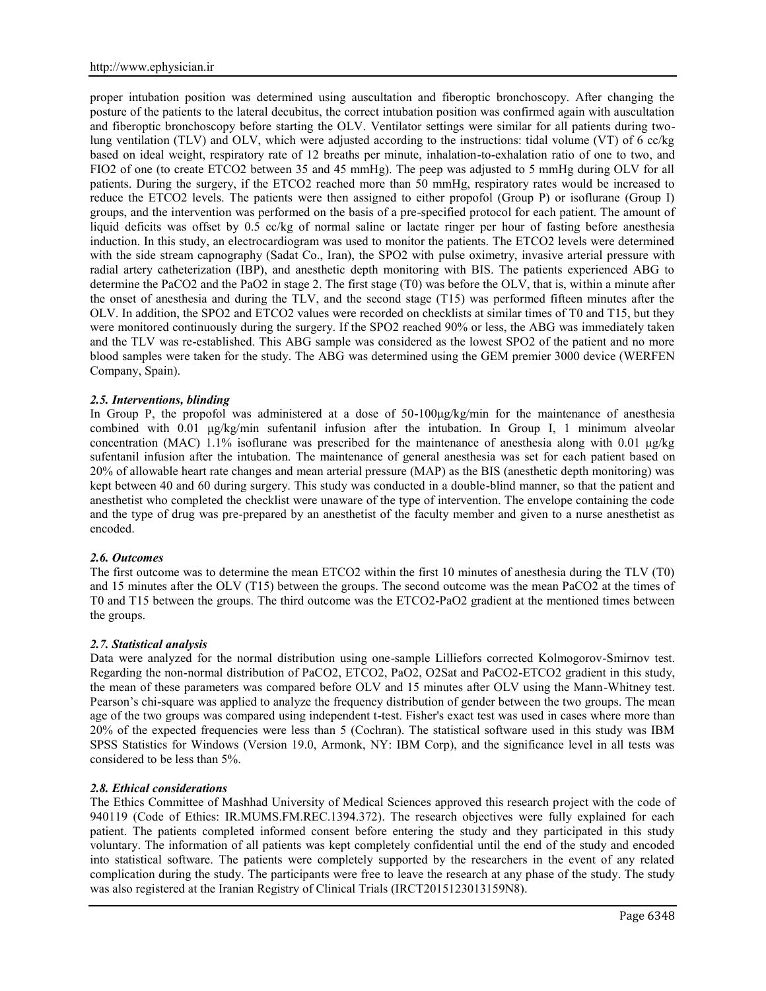proper intubation position was determined using auscultation and fiberoptic bronchoscopy. After changing the posture of the patients to the lateral decubitus, the correct intubation position was confirmed again with auscultation and fiberoptic bronchoscopy before starting the OLV. Ventilator settings were similar for all patients during twolung ventilation (TLV) and OLV, which were adjusted according to the instructions: tidal volume (VT) of 6 cc/kg based on ideal weight, respiratory rate of 12 breaths per minute, inhalation-to-exhalation ratio of one to two, and FIO2 of one (to create ETCO2 between 35 and 45 mmHg). The peep was adjusted to 5 mmHg during OLV for all patients. During the surgery, if the ETCO2 reached more than 50 mmHg, respiratory rates would be increased to reduce the ETCO2 levels. The patients were then assigned to either propofol (Group P) or isoflurane (Group I) groups, and the intervention was performed on the basis of a pre-specified protocol for each patient. The amount of liquid deficits was offset by 0.5 cc/kg of normal saline or lactate ringer per hour of fasting before anesthesia induction. In this study, an electrocardiogram was used to monitor the patients. The ETCO2 levels were determined with the side stream capnography (Sadat Co., Iran), the SPO2 with pulse oximetry, invasive arterial pressure with radial artery catheterization (IBP), and anesthetic depth monitoring with BIS. The patients experienced ABG to determine the PaCO2 and the PaO2 in stage 2. The first stage (T0) was before the OLV, that is, within a minute after the onset of anesthesia and during the TLV, and the second stage (T15) was performed fifteen minutes after the OLV. In addition, the SPO2 and ETCO2 values were recorded on checklists at similar times of T0 and T15, but they were monitored continuously during the surgery. If the SPO2 reached 90% or less, the ABG was immediately taken and the TLV was re-established. This ABG sample was considered as the lowest SPO2 of the patient and no more blood samples were taken for the study. The ABG was determined using the GEM premier 3000 device (WERFEN Company, Spain).

## *2.5. Interventions, blinding*

In Group P, the propofol was administered at a dose of  $50-100\mu g/kg/min$  for the maintenance of anesthesia combined with 0.01 μg/kg/min sufentanil infusion after the intubation. In Group I, 1 minimum alveolar concentration (MAC) 1.1% isoflurane was prescribed for the maintenance of anesthesia along with 0.01 μg/kg sufentanil infusion after the intubation. The maintenance of general anesthesia was set for each patient based on 20% of allowable heart rate changes and mean arterial pressure (MAP) as the BIS (anesthetic depth monitoring) was kept between 40 and 60 during surgery. This study was conducted in a double-blind manner, so that the patient and anesthetist who completed the checklist were unaware of the type of intervention. The envelope containing the code and the type of drug was pre-prepared by an anesthetist of the faculty member and given to a nurse anesthetist as encoded.

#### *2.6. Outcomes*

The first outcome was to determine the mean ETCO2 within the first 10 minutes of anesthesia during the TLV (T0) and 15 minutes after the OLV (T15) between the groups. The second outcome was the mean PaCO2 at the times of T0 and T15 between the groups. The third outcome was the ETCO2-PaO2 gradient at the mentioned times between the groups.

#### *2.7. Statistical analysis*

Data were analyzed for the normal distribution using one-sample Lilliefors corrected Kolmogorov-Smirnov test. Regarding the non-normal distribution of PaCO2, ETCO2, PaO2, O2Sat and PaCO2-ETCO2 gradient in this study, the mean of these parameters was compared before OLV and 15 minutes after OLV using the Mann-Whitney test. Pearson's chi-square was applied to analyze the frequency distribution of gender between the two groups. The mean age of the two groups was compared using independent t-test. Fisher's exact test was used in cases where more than 20% of the expected frequencies were less than 5 (Cochran). The statistical software used in this study was IBM SPSS Statistics for Windows (Version 19.0, Armonk, NY: IBM Corp), and the significance level in all tests was considered to be less than 5%.

#### *2.8. Ethical considerations*

The Ethics Committee of Mashhad University of Medical Sciences approved this research project with the code of 940119 (Code of Ethics: IR.MUMS.FM.REC.1394.372). The research objectives were fully explained for each patient. The patients completed informed consent before entering the study and they participated in this study voluntary. The information of all patients was kept completely confidential until the end of the study and encoded into statistical software. The patients were completely supported by the researchers in the event of any related complication during the study. The participants were free to leave the research at any phase of the study. The study was also registered at the Iranian Registry of Clinical Trials (IRCT2015123013159N8).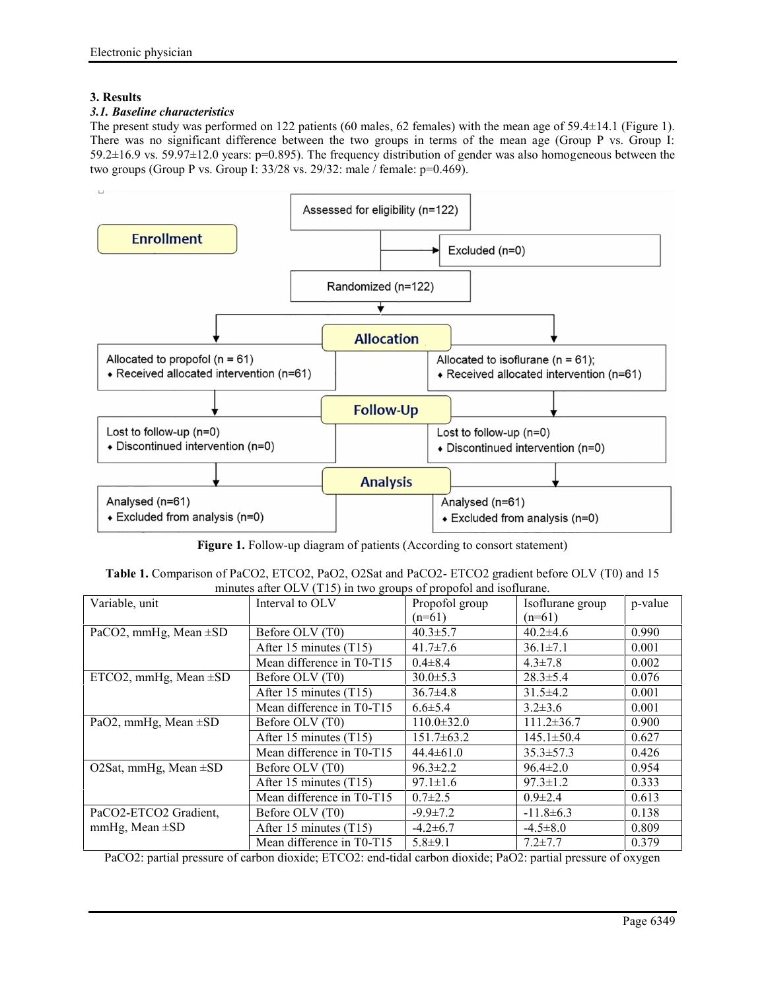# **3. Results**

# *3.1. Baseline characteristics*

The present study was performed on 122 patients (60 males, 62 females) with the mean age of 59.4±14.1 (Figure 1). There was no significant difference between the two groups in terms of the mean age (Group P vs. Group I: 59.2±16.9 vs. 59.97±12.0 years: p=0.895). The frequency distribution of gender was also homogeneous between the two groups (Group P vs. Group I: 33/28 vs. 29/32: male / female: p=0.469).



**Figure 1.** Follow-up diagram of patients (According to consort statement)

| Table 1. Comparison of PaCO2, ETCO2, PaO2, O2Sat and PaCO2- ETCO2 gradient before OLV (T0) and 15 |  |
|---------------------------------------------------------------------------------------------------|--|
| minutes after OLV (T15) in two groups of propofol and isoflurane.                                 |  |

| Variable, unit             | Interval to OLV           | Propofol group   | Isoflurane group | p-value |
|----------------------------|---------------------------|------------------|------------------|---------|
|                            |                           | $(n=61)$         | $(n=61)$         |         |
| PaCO2, mmHg, Mean $\pm$ SD | Before OLV (T0)           | $40.3 \pm 5.7$   | $40.2\pm4.6$     | 0.990   |
|                            | After 15 minutes $(T15)$  | $41.7 \pm 7.6$   | $36.1 \pm 7.1$   | 0.001   |
|                            | Mean difference in T0-T15 | $0.4 \pm 8.4$    | $4.3 \pm 7.8$    | 0.002   |
| ETCO2, mmHg, Mean $\pm SD$ | Before OLV (T0)           | $30.0 \pm 5.3$   | $28.3 \pm 5.4$   | 0.076   |
|                            | After 15 minutes $(T15)$  | $36.7\pm4.8$     | $31.5\pm4.2$     | 0.001   |
|                            | Mean difference in T0-T15 | $6.6 \pm 5.4$    | $3.2 \pm 3.6$    | 0.001   |
| PaO2, mmHg, Mean $\pm$ SD  | Before OLV (T0)           | $110.0 \pm 32.0$ | $111.2 \pm 36.7$ | 0.900   |
|                            | After 15 minutes (T15)    | $151.7\pm 63.2$  | $145.1 \pm 50.4$ | 0.627   |
|                            | Mean difference in T0-T15 | $44.4 \pm 61.0$  | $35.3 \pm 57.3$  | 0.426   |
| O2Sat, mmHg, Mean $\pm$ SD | Before OLV (T0)           | $96.3 \pm 2.2$   | $96.4 \pm 2.0$   | 0.954   |
|                            | After 15 minutes $(T15)$  | $97.1 \pm 1.6$   | $97.3 \pm 1.2$   | 0.333   |
|                            | Mean difference in T0-T15 | $0.7 \pm 2.5$    | $0.9 \pm 2.4$    | 0.613   |
| PaCO2-ETCO2 Gradient,      | Before OLV (T0)           | $-9.9 \pm 7.2$   | $-11.8\pm 6.3$   | 0.138   |
| mmHg, Mean $\pm SD$        | After 15 minutes $(T15)$  | $-4.2\pm 6.7$    | $-4.5 \pm 8.0$   | 0.809   |
|                            | Mean difference in T0-T15 | $5.8 + 9.1$      | $7.2 \pm 7.7$    | 0.379   |

PaCO2: partial pressure of carbon dioxide; ETCO2: end-tidal carbon dioxide; PaO2: partial pressure of oxygen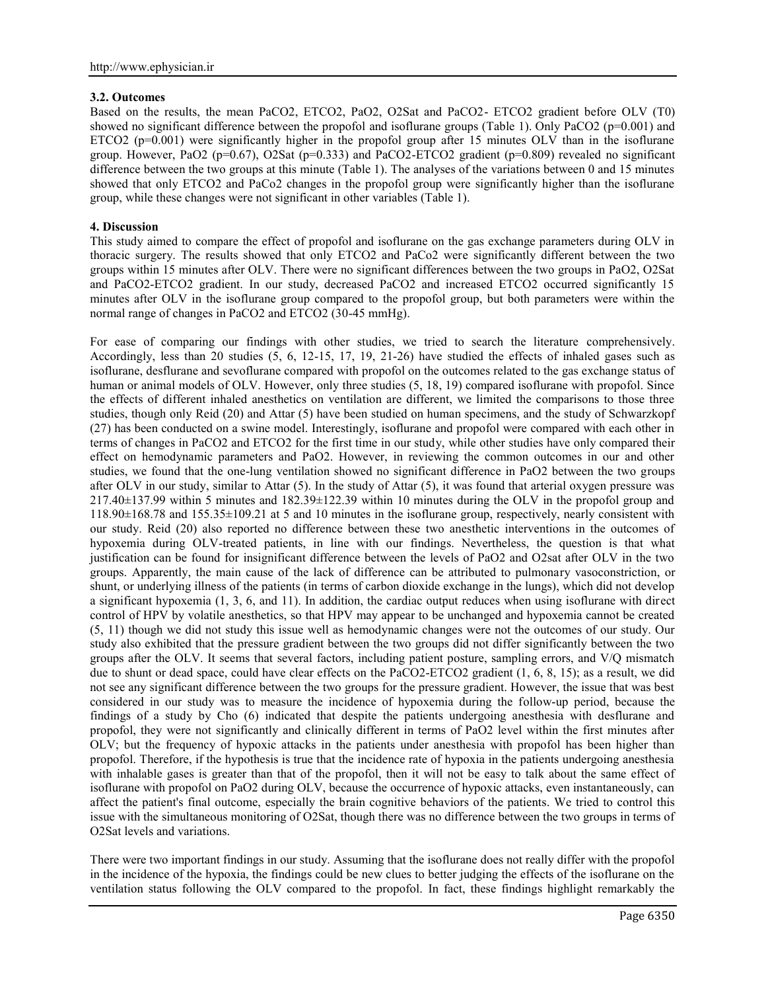# **3.2. Outcomes**

Based on the results, the mean PaCO2, ETCO2, PaO2, O2Sat and PaCO2- ETCO2 gradient before OLV (T0) showed no significant difference between the propofol and isoflurane groups (Table 1). Only PaCO2 ( $p=0.001$ ) and ETCO2 (p=0.001) were significantly higher in the propofol group after 15 minutes OLV than in the isoflurane group. However, PaO2 (p=0.67), O2Sat (p=0.333) and PaCO2-ETCO2 gradient (p=0.809) revealed no significant difference between the two groups at this minute (Table 1). The analyses of the variations between 0 and 15 minutes showed that only ETCO2 and PaCo2 changes in the propofol group were significantly higher than the isoflurane group, while these changes were not significant in other variables (Table 1).

# **4. Discussion**

This study aimed to compare the effect of propofol and isoflurane on the gas exchange parameters during OLV in thoracic surgery. The results showed that only ETCO2 and PaCo2 were significantly different between the two groups within 15 minutes after OLV. There were no significant differences between the two groups in PaO2, O2Sat and PaCO2-ETCO2 gradient. In our study, decreased PaCO2 and increased ETCO2 occurred significantly 15 minutes after OLV in the isoflurane group compared to the propofol group, but both parameters were within the normal range of changes in PaCO2 and ETCO2 (30-45 mmHg).

For ease of comparing our findings with other studies, we tried to search the literature comprehensively. Accordingly, less than 20 studies (5, 6, 12-15, 17, 19, 21-26) have studied the effects of inhaled gases such as isoflurane, desflurane and sevoflurane compared with propofol on the outcomes related to the gas exchange status of human or animal models of OLV. However, only three studies  $(5, 18, 19)$  compared isoflurane with propofol. Since the effects of different inhaled anesthetics on ventilation are different, we limited the comparisons to those three studies, though only Reid (20) and Attar (5) have been studied on human specimens, and the study of Schwarzkopf (27) has been conducted on a swine model. Interestingly, isoflurane and propofol were compared with each other in terms of changes in PaCO2 and ETCO2 for the first time in our study, while other studies have only compared their effect on hemodynamic parameters and PaO2. However, in reviewing the common outcomes in our and other studies, we found that the one-lung ventilation showed no significant difference in PaO2 between the two groups after OLV in our study, similar to Attar (5). In the study of Attar (5), it was found that arterial oxygen pressure was 217.40±137.99 within 5 minutes and 182.39±122.39 within 10 minutes during the OLV in the propofol group and 118.90±168.78 and 155.35±109.21 at 5 and 10 minutes in the isoflurane group, respectively, nearly consistent with our study. Reid (20) also reported no difference between these two anesthetic interventions in the outcomes of hypoxemia during OLV-treated patients, in line with our findings. Nevertheless, the question is that what justification can be found for insignificant difference between the levels of PaO2 and O2sat after OLV in the two groups. Apparently, the main cause of the lack of difference can be attributed to pulmonary vasoconstriction, or shunt, or underlying illness of the patients (in terms of carbon dioxide exchange in the lungs), which did not develop a significant hypoxemia (1, 3, 6, and 11). In addition, the cardiac output reduces when using isoflurane with direct control of HPV by volatile anesthetics, so that HPV may appear to be unchanged and hypoxemia cannot be created (5, 11) though we did not study this issue well as hemodynamic changes were not the outcomes of our study. Our study also exhibited that the pressure gradient between the two groups did not differ significantly between the two groups after the OLV. It seems that several factors, including patient posture, sampling errors, and V/Q mismatch due to shunt or dead space, could have clear effects on the PaCO2-ETCO2 gradient (1, 6, 8, 15); as a result, we did not see any significant difference between the two groups for the pressure gradient. However, the issue that was best considered in our study was to measure the incidence of hypoxemia during the follow-up period, because the findings of a study by Cho (6) indicated that despite the patients undergoing anesthesia with desflurane and propofol, they were not significantly and clinically different in terms of PaO2 level within the first minutes after OLV; but the frequency of hypoxic attacks in the patients under anesthesia with propofol has been higher than propofol. Therefore, if the hypothesis is true that the incidence rate of hypoxia in the patients undergoing anesthesia with inhalable gases is greater than that of the propofol, then it will not be easy to talk about the same effect of isoflurane with propofol on PaO2 during OLV, because the occurrence of hypoxic attacks, even instantaneously, can affect the patient's final outcome, especially the brain cognitive behaviors of the patients. We tried to control this issue with the simultaneous monitoring of O2Sat, though there was no difference between the two groups in terms of O2Sat levels and variations.

There were two important findings in our study. Assuming that the isoflurane does not really differ with the propofol in the incidence of the hypoxia, the findings could be new clues to better judging the effects of the isoflurane on the ventilation status following the OLV compared to the propofol. In fact, these findings highlight remarkably the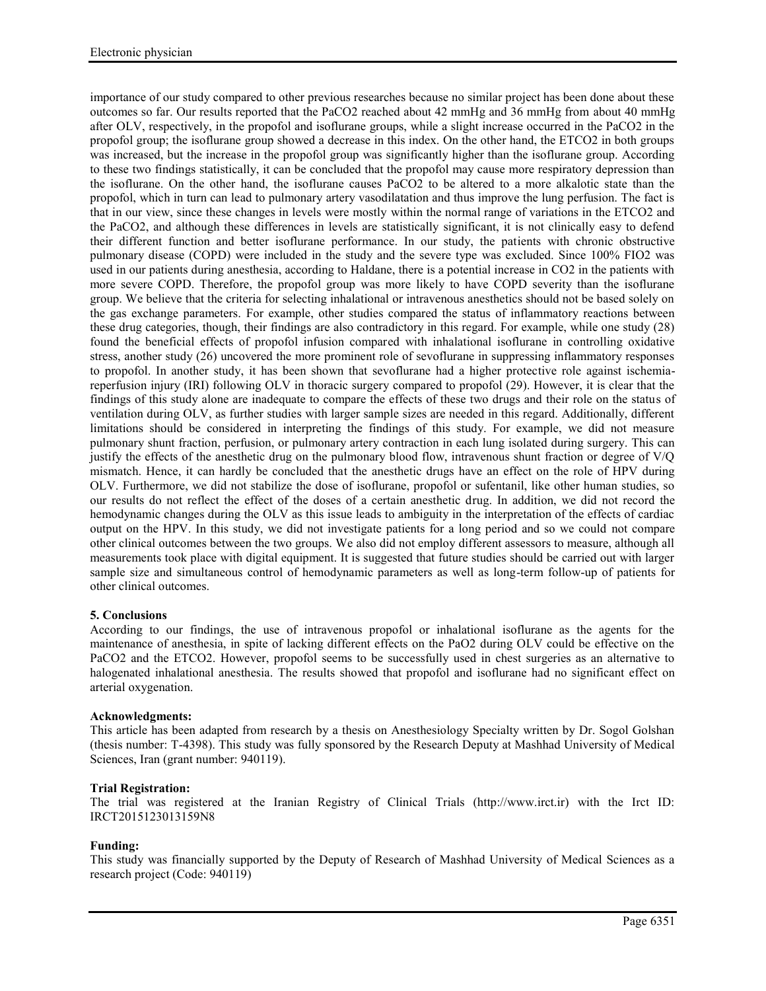importance of our study compared to other previous researches because no similar project has been done about these outcomes so far. Our results reported that the PaCO2 reached about 42 mmHg and 36 mmHg from about 40 mmHg after OLV, respectively, in the propofol and isoflurane groups, while a slight increase occurred in the PaCO2 in the propofol group; the isoflurane group showed a decrease in this index. On the other hand, the ETCO2 in both groups was increased, but the increase in the propofol group was significantly higher than the isoflurane group. According to these two findings statistically, it can be concluded that the propofol may cause more respiratory depression than the isoflurane. On the other hand, the isoflurane causes PaCO2 to be altered to a more alkalotic state than the propofol, which in turn can lead to pulmonary artery vasodilatation and thus improve the lung perfusion. The fact is that in our view, since these changes in levels were mostly within the normal range of variations in the ETCO2 and the PaCO2, and although these differences in levels are statistically significant, it is not clinically easy to defend their different function and better isoflurane performance. In our study, the patients with chronic obstructive pulmonary disease (COPD) were included in the study and the severe type was excluded. Since 100% FIO2 was used in our patients during anesthesia, according to Haldane, there is a potential increase in CO2 in the patients with more severe COPD. Therefore, the propofol group was more likely to have COPD severity than the isoflurane group. We believe that the criteria for selecting inhalational or intravenous anesthetics should not be based solely on the gas exchange parameters. For example, other studies compared the status of inflammatory reactions between these drug categories, though, their findings are also contradictory in this regard. For example, while one study (28) found the beneficial effects of propofol infusion compared with inhalational isoflurane in controlling oxidative stress, another study (26) uncovered the more prominent role of sevoflurane in suppressing inflammatory responses to propofol. In another study, it has been shown that sevoflurane had a higher protective role against ischemiareperfusion injury (IRI) following OLV in thoracic surgery compared to propofol (29). However, it is clear that the findings of this study alone are inadequate to compare the effects of these two drugs and their role on the status of ventilation during OLV, as further studies with larger sample sizes are needed in this regard. Additionally, different limitations should be considered in interpreting the findings of this study. For example, we did not measure pulmonary shunt fraction, perfusion, or pulmonary artery contraction in each lung isolated during surgery. This can justify the effects of the anesthetic drug on the pulmonary blood flow, intravenous shunt fraction or degree of V/Q mismatch. Hence, it can hardly be concluded that the anesthetic drugs have an effect on the role of HPV during OLV. Furthermore, we did not stabilize the dose of isoflurane, propofol or sufentanil, like other human studies, so our results do not reflect the effect of the doses of a certain anesthetic drug. In addition, we did not record the hemodynamic changes during the OLV as this issue leads to ambiguity in the interpretation of the effects of cardiac output on the HPV. In this study, we did not investigate patients for a long period and so we could not compare other clinical outcomes between the two groups. We also did not employ different assessors to measure, although all measurements took place with digital equipment. It is suggested that future studies should be carried out with larger sample size and simultaneous control of hemodynamic parameters as well as long-term follow-up of patients for other clinical outcomes.

# **5. Conclusions**

According to our findings, the use of intravenous propofol or inhalational isoflurane as the agents for the maintenance of anesthesia, in spite of lacking different effects on the PaO2 during OLV could be effective on the PaCO2 and the ETCO2. However, propofol seems to be successfully used in chest surgeries as an alternative to halogenated inhalational anesthesia. The results showed that propofol and isoflurane had no significant effect on arterial oxygenation.

#### **Acknowledgments:**

This article has been adapted from research by a thesis on Anesthesiology Specialty written by Dr. Sogol Golshan (thesis number: T-4398). This study was fully sponsored by the Research Deputy at Mashhad University of Medical Sciences, Iran (grant number: 940119).

# **Trial Registration:**

The trial was registered at the Iranian Registry of Clinical Trials (http://www.irct.ir) with the Irct ID: IRCT2015123013159N8

# **Funding:**

This study was financially supported by the Deputy of Research of Mashhad University of Medical Sciences as a research project (Code: 940119)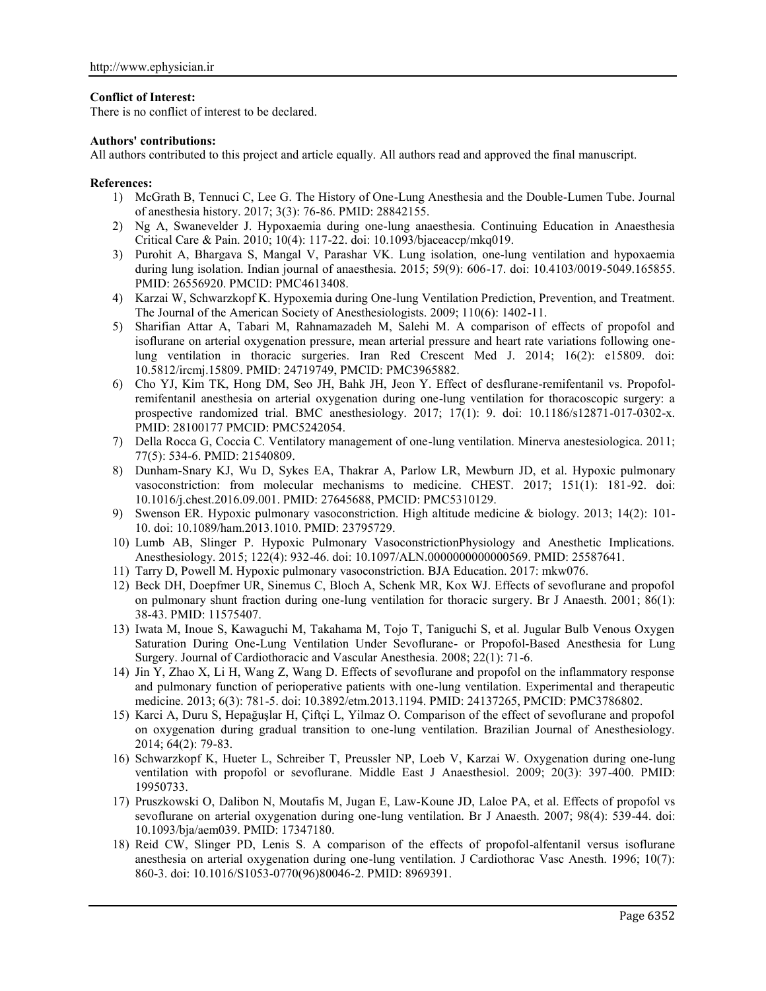## **Conflict of Interest:**

There is no conflict of interest to be declared.

## **Authors' contributions:**

All authors contributed to this project and article equally. All authors read and approved the final manuscript.

## **References:**

- 1) McGrath B, Tennuci C, Lee G. The History of One-Lung Anesthesia and the Double-Lumen Tube. Journal of anesthesia history. 2017; 3(3): 76-86. PMID: 28842155.
- 2) Ng A, Swanevelder J. Hypoxaemia during one-lung anaesthesia. Continuing Education in Anaesthesia Critical Care & Pain. 2010; 10(4): 117-22. doi: 10.1093/bjaceaccp/mkq019.
- 3) Purohit A, Bhargava S, Mangal V, Parashar VK. Lung isolation, one-lung ventilation and hypoxaemia during lung isolation. Indian journal of anaesthesia. 2015; 59(9): 606-17. doi: 10.4103/0019-5049.165855. PMID: 26556920. PMCID: PMC4613408.
- 4) Karzai W, Schwarzkopf K. Hypoxemia during One-lung Ventilation Prediction, Prevention, and Treatment. The Journal of the American Society of Anesthesiologists. 2009; 110(6): 1402-11.
- 5) Sharifian Attar A, Tabari M, Rahnamazadeh M, Salehi M. A comparison of effects of propofol and isoflurane on arterial oxygenation pressure, mean arterial pressure and heart rate variations following onelung ventilation in thoracic surgeries. Iran Red Crescent Med J. 2014; 16(2): e15809. doi: 10.5812/ircmj.15809. PMID: 24719749, PMCID: PMC3965882.
- 6) Cho YJ, Kim TK, Hong DM, Seo JH, Bahk JH, Jeon Y. Effect of desflurane-remifentanil vs. Propofolremifentanil anesthesia on arterial oxygenation during one-lung ventilation for thoracoscopic surgery: a prospective randomized trial. BMC anesthesiology. 2017; 17(1): 9. doi: 10.1186/s12871-017-0302-x. PMID: 28100177 PMCID: PMC5242054.
- 7) Della Rocca G, Coccia C. Ventilatory management of one-lung ventilation. Minerva anestesiologica. 2011; 77(5): 534-6. PMID: 21540809.
- 8) Dunham-Snary KJ, Wu D, Sykes EA, Thakrar A, Parlow LR, Mewburn JD, et al. Hypoxic pulmonary vasoconstriction: from molecular mechanisms to medicine. CHEST. 2017; 151(1): 181-92. doi: 10.1016/j.chest.2016.09.001. PMID: 27645688, PMCID: PMC5310129.
- 9) Swenson ER. Hypoxic pulmonary vasoconstriction. High altitude medicine & biology. 2013; 14(2): 101- 10. doi: 10.1089/ham.2013.1010. PMID: 23795729.
- 10) Lumb AB, Slinger P. Hypoxic Pulmonary VasoconstrictionPhysiology and Anesthetic Implications. Anesthesiology. 2015; 122(4): 932-46. doi: 10.1097/ALN.0000000000000569. PMID: 25587641.
- 11) Tarry D, Powell M. Hypoxic pulmonary vasoconstriction. BJA Education. 2017: mkw076.
- 12) Beck DH, Doepfmer UR, Sinemus C, Bloch A, Schenk MR, Kox WJ. Effects of sevoflurane and propofol on pulmonary shunt fraction during one-lung ventilation for thoracic surgery. Br J Anaesth. 2001; 86(1): 38-43. PMID: 11575407.
- 13) Iwata M, Inoue S, Kawaguchi M, Takahama M, Tojo T, Taniguchi S, et al. Jugular Bulb Venous Oxygen Saturation During One-Lung Ventilation Under Sevoflurane- or Propofol-Based Anesthesia for Lung Surgery. Journal of Cardiothoracic and Vascular Anesthesia. 2008; 22(1): 71-6.
- 14) Jin Y, Zhao X, Li H, Wang Z, Wang D. Effects of sevoflurane and propofol on the inflammatory response and pulmonary function of perioperative patients with one-lung ventilation. Experimental and therapeutic medicine. 2013; 6(3): 781-5. doi: 10.3892/etm.2013.1194. PMID: 24137265, PMCID: PMC3786802.
- 15) Karci A, Duru S, Hepağuşlar H, Çiftçi L, Yilmaz O. Comparison of the effect of sevoflurane and propofol on oxygenation during gradual transition to one-lung ventilation. Brazilian Journal of Anesthesiology. 2014; 64(2): 79-83.
- 16) Schwarzkopf K, Hueter L, Schreiber T, Preussler NP, Loeb V, Karzai W. Oxygenation during one-lung ventilation with propofol or sevoflurane. Middle East J Anaesthesiol. 2009; 20(3): 397-400. PMID: 19950733.
- 17) Pruszkowski O, Dalibon N, Moutafis M, Jugan E, Law-Koune JD, Laloe PA, et al. Effects of propofol vs sevoflurane on arterial oxygenation during one-lung ventilation. Br J Anaesth. 2007; 98(4): 539-44. doi: 10.1093/bja/aem039. PMID: 17347180.
- 18) Reid CW, Slinger PD, Lenis S. A comparison of the effects of propofol-alfentanil versus isoflurane anesthesia on arterial oxygenation during one-lung ventilation. J Cardiothorac Vasc Anesth. 1996; 10(7): 860-3. doi: 10.1016/S1053-0770(96)80046-2. PMID: 8969391.